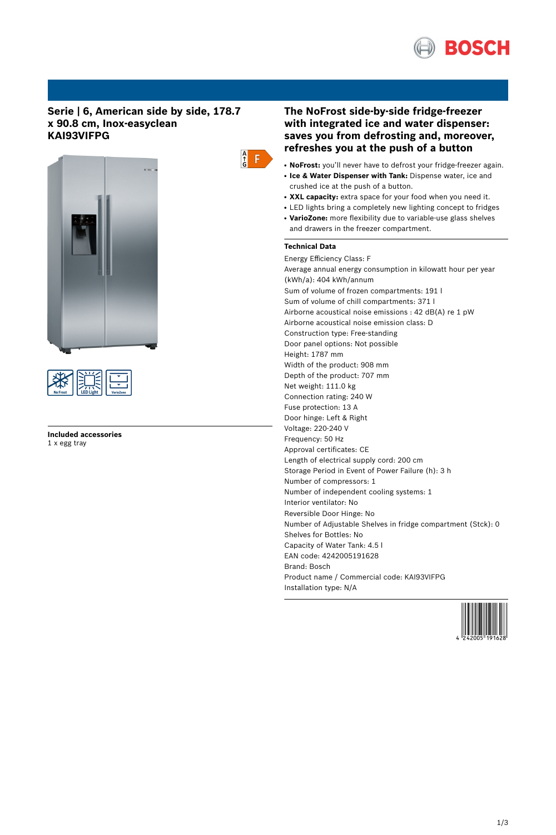

# **Serie | 6, American side by side, 178.7 x 90.8 cm, Inox-easyclean KAI93VIFPG**





**Included accessories** 1 x egg tray



# **The NoFrost side-by-side fridge-freezer with integrated ice and water dispenser: saves you from defrosting and, moreover, refreshes you at the push of a button**

- NoFrost: you'll never have to defrost your fridge-freezer again.
- **Ice & Water Dispenser with Tank:** Dispense water, ice and crushed ice at the push of a button.
- XXL capacity: extra space for your food when you need it.
- LED lights bring a completely new lighting concept to fridges
- VarioZone: more flexibility due to variable-use glass shelves and drawers in the freezer compartment.

# **Technical Data**

Energy Efficiency Class: F Average annual energy consumption in kilowatt hour per year (kWh/a): 404 kWh/annum Sum of volume of frozen compartments: 191 l Sum of volume of chill compartments: 371 l Airborne acoustical noise emissions : 42 dB(A) re 1 pW Airborne acoustical noise emission class: D Construction type: Free-standing Door panel options: Not possible Height: 1787 mm Width of the product: 908 mm Depth of the product: 707 mm Net weight: 111.0 kg Connection rating: 240 W Fuse protection: 13 A Door hinge: Left & Right Voltage: 220-240 V Frequency: 50 Hz Approval certificates: CE Length of electrical supply cord: 200 cm Storage Period in Event of Power Failure (h): 3 h Number of compressors: 1 Number of independent cooling systems: 1 Interior ventilator: No Reversible Door Hinge: No Number of Adjustable Shelves in fridge compartment (Stck): 0 Shelves for Bottles: No Capacity of Water Tank: 4.5 l EAN code: 4242005191628 Brand: Bosch Product name / Commercial code: KAI93VIFPG Installation type: N/A

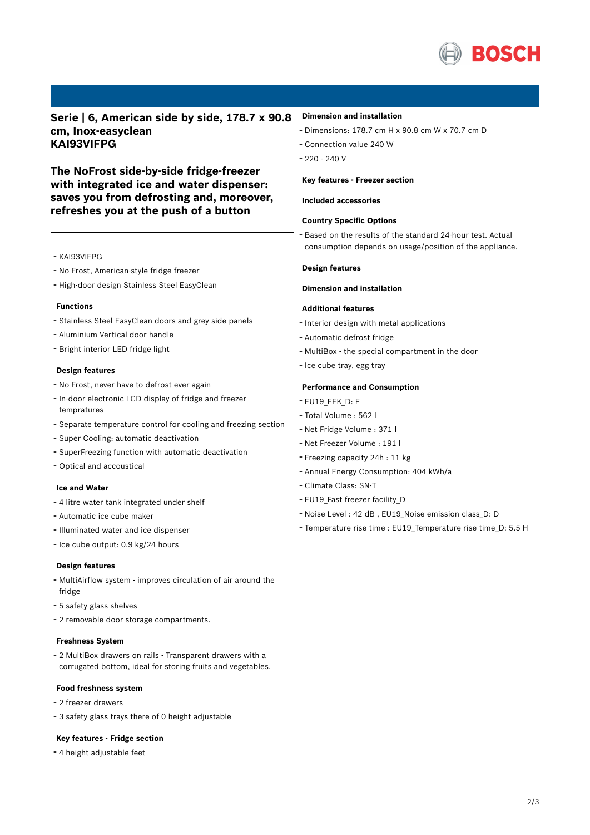

**Serie | 6, American side by side, 178.7 x 90.8 cm, Inox-easyclean KAI93VIFPG**

**The NoFrost side-by-side fridge-freezer with integrated ice and water dispenser: saves you from defrosting and, moreover, refreshes you at the push of a button**

- KAI93VIFPG
- No Frost, American-style fridge freezer
- High-door design Stainless Steel EasyClean

#### **Functions**

- Stainless Steel EasyClean doors and grey side panels
- Aluminium Vertical door handle
- Bright interior LED fridge light

#### **Design features**

- No Frost, never have to defrost ever again
- In-door electronic LCD display of fridge and freezer tempratures
- Separate temperature control for cooling and freezing section
- Super Cooling: automatic deactivation
- SuperFreezing function with automatic deactivation
- Optical and accoustical

# **Ice and Water**

- <sup>4</sup> litre water tank integrated under shelf
- Automatic ice cube maker
- Illuminated water and ice dispenser
- Ice cube output: 0.9 kg/24 hours

#### **Design features**

- MultiAirflow system improves circulation of air around the fridge
- <sup>5</sup> safety glass shelves
- <sup>2</sup> removable door storage compartments.

#### **Freshness System**

- <sup>2</sup> MultiBox drawers on rails - Transparent drawers with <sup>a</sup> corrugated bottom, ideal for storing fruits and vegetables.

## **Food freshness system**

- <sup>2</sup> freezer drawers
- <sup>3</sup> safety glass trays there of <sup>0</sup> height adjustable

#### **Key features - Fridge section**

- <sup>4</sup> height adjustable feet

#### **Dimension and installation**

- Dimensions: 178.7 cm H x 90.8 cm W x 70.7 cm D
- Connection value <sup>240</sup> <sup>W</sup>
- 220 240 V

#### **Key features - Freezer section**

#### **Included accessories**

## **Country Specific Options**

- Based on the results of the standard 24-hour test. Actual consumption depends on usage/position of the appliance.

# **Design features**

# **Dimension and installation**

## **Additional features**

- Interior design with metal applications
- Automatic defrost fridge
- MultiBox the special compartment in the door
- Ice cube tray, egg tray

# **Performance and Consumption**

- EU19\_EEK\_D: F
- Total Volume : <sup>562</sup> <sup>l</sup>
- Net Fridge Volume : <sup>371</sup> <sup>l</sup>
- Net Freezer Volume : <sup>191</sup> <sup>l</sup>
- Freezing capacity 24h : <sup>11</sup> kg
- Annual Energy Consumption: <sup>404</sup> kWh/a
- Climate Class: SN-T
- EU19\_Fast freezer facility\_D
- Noise Level : <sup>42</sup> dB , EU19\_Noise emission class\_D: <sup>D</sup>
- Temperature rise time : EU19\_Temperature rise time\_D: 5.5 <sup>H</sup>